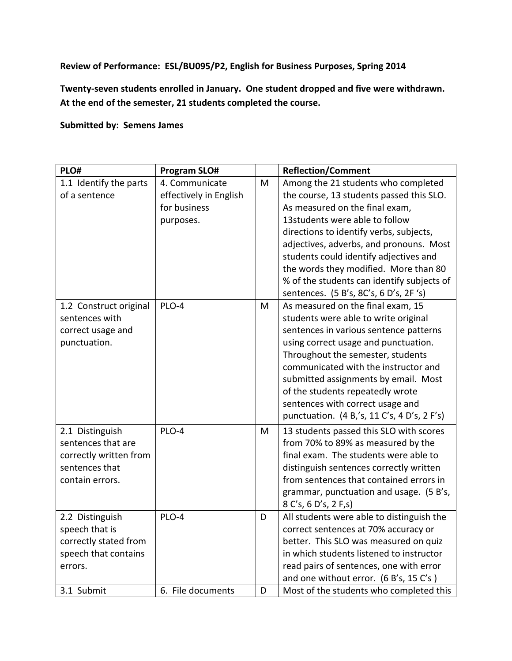**Review of Performance: ESL/BU095/P2, English for Business Purposes, Spring 2014**

**Twenty-seven students enrolled in January. One student dropped and five were withdrawn. At the end of the semester, 21 students completed the course.**

**Submitted by: Semens James**

| PLO#                                                                                                 | <b>Program SLO#</b>                                                   |   | <b>Reflection/Comment</b>                                                                                                                                                                                                                                                                                                                                                                                            |
|------------------------------------------------------------------------------------------------------|-----------------------------------------------------------------------|---|----------------------------------------------------------------------------------------------------------------------------------------------------------------------------------------------------------------------------------------------------------------------------------------------------------------------------------------------------------------------------------------------------------------------|
| 1.1 Identify the parts<br>of a sentence                                                              | 4. Communicate<br>effectively in English<br>for business<br>purposes. | M | Among the 21 students who completed<br>the course, 13 students passed this SLO.<br>As measured on the final exam,<br>13students were able to follow<br>directions to identify verbs, subjects,<br>adjectives, adverbs, and pronouns. Most<br>students could identify adjectives and<br>the words they modified. More than 80<br>% of the students can identify subjects of<br>sentences. (5 B's, 8C's, 6 D's, 2F 's) |
| 1.2 Construct original<br>sentences with<br>correct usage and<br>punctuation.                        | PLO-4                                                                 | M | As measured on the final exam, 15<br>students were able to write original<br>sentences in various sentence patterns<br>using correct usage and punctuation.<br>Throughout the semester, students<br>communicated with the instructor and<br>submitted assignments by email. Most<br>of the students repeatedly wrote<br>sentences with correct usage and<br>punctuation. (4 B,'s, 11 C's, 4 D's, 2 F's)              |
| 2.1 Distinguish<br>sentences that are<br>correctly written from<br>sentences that<br>contain errors. | PLO-4                                                                 | M | 13 students passed this SLO with scores<br>from 70% to 89% as measured by the<br>final exam. The students were able to<br>distinguish sentences correctly written<br>from sentences that contained errors in<br>grammar, punctuation and usage. (5 B's,<br>8 C's, 6 D's, 2 F, s)                                                                                                                                     |
| 2.2 Distinguish<br>speech that is<br>correctly stated from<br>speech that contains<br>errors.        | PLO-4                                                                 | D | All students were able to distinguish the<br>correct sentences at 70% accuracy or<br>better. This SLO was measured on quiz<br>in which students listened to instructor<br>read pairs of sentences, one with error<br>and one without error. (6 B's, 15 C's)                                                                                                                                                          |
| 3.1 Submit                                                                                           | 6. File documents                                                     | D | Most of the students who completed this                                                                                                                                                                                                                                                                                                                                                                              |